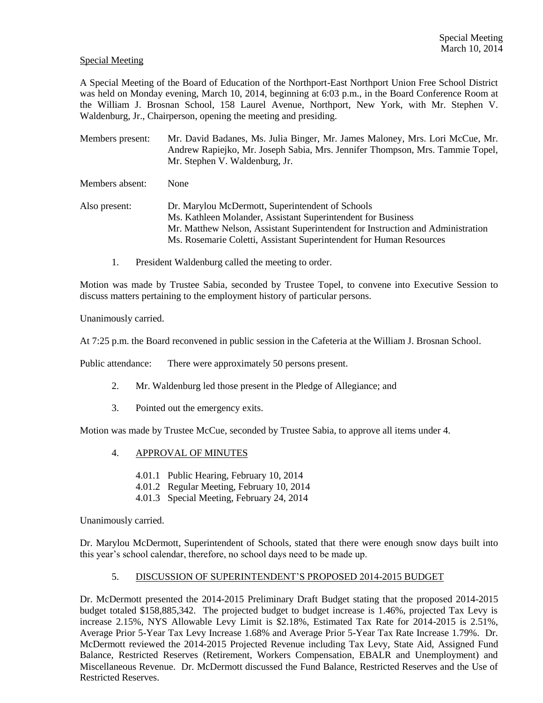## Special Meeting

A Special Meeting of the Board of Education of the Northport-East Northport Union Free School District was held on Monday evening, March 10, 2014, beginning at 6:03 p.m., in the Board Conference Room at the William J. Brosnan School, 158 Laurel Avenue, Northport, New York, with Mr. Stephen V. Waldenburg, Jr., Chairperson, opening the meeting and presiding.

Members present: Mr. David Badanes, Ms. Julia Binger, Mr. James Maloney, Mrs. Lori McCue, Mr. Andrew Rapiejko, Mr. Joseph Sabia, Mrs. Jennifer Thompson, Mrs. Tammie Topel, Mr. Stephen V. Waldenburg, Jr.

Members absent: None

Also present: Dr. Marylou McDermott, Superintendent of Schools Ms. Kathleen Molander, Assistant Superintendent for Business Mr. Matthew Nelson, Assistant Superintendent for Instruction and Administration Ms. Rosemarie Coletti, Assistant Superintendent for Human Resources

1. President Waldenburg called the meeting to order.

Motion was made by Trustee Sabia, seconded by Trustee Topel, to convene into Executive Session to discuss matters pertaining to the employment history of particular persons.

Unanimously carried.

At 7:25 p.m. the Board reconvened in public session in the Cafeteria at the William J. Brosnan School.

Public attendance: There were approximately 50 persons present.

- 2. Mr. Waldenburg led those present in the Pledge of Allegiance; and
- 3. Pointed out the emergency exits.

Motion was made by Trustee McCue, seconded by Trustee Sabia, to approve all items under 4.

- 4. APPROVAL OF MINUTES
	- 4.01.1 Public Hearing, February 10, 2014
	- 4.01.2 Regular Meeting, February 10, 2014
	- 4.01.3 Special Meeting, February 24, 2014

Unanimously carried.

Dr. Marylou McDermott, Superintendent of Schools, stated that there were enough snow days built into this year's school calendar, therefore, no school days need to be made up.

# 5. DISCUSSION OF SUPERINTENDENT'S PROPOSED 2014-2015 BUDGET

Dr. McDermott presented the 2014-2015 Preliminary Draft Budget stating that the proposed 2014-2015 budget totaled \$158,885,342. The projected budget to budget increase is 1.46%, projected Tax Levy is increase 2.15%, NYS Allowable Levy Limit is \$2.18%, Estimated Tax Rate for 2014-2015 is 2.51%, Average Prior 5-Year Tax Levy Increase 1.68% and Average Prior 5-Year Tax Rate Increase 1.79%. Dr. McDermott reviewed the 2014-2015 Projected Revenue including Tax Levy, State Aid, Assigned Fund Balance, Restricted Reserves (Retirement, Workers Compensation, EBALR and Unemployment) and Miscellaneous Revenue. Dr. McDermott discussed the Fund Balance, Restricted Reserves and the Use of Restricted Reserves.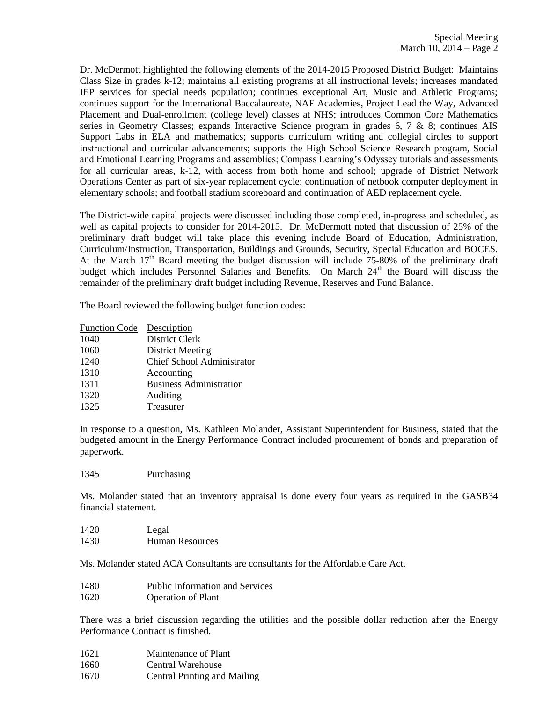Dr. McDermott highlighted the following elements of the 2014-2015 Proposed District Budget: Maintains Class Size in grades k-12; maintains all existing programs at all instructional levels; increases mandated IEP services for special needs population; continues exceptional Art, Music and Athletic Programs; continues support for the International Baccalaureate, NAF Academies, Project Lead the Way, Advanced Placement and Dual-enrollment (college level) classes at NHS; introduces Common Core Mathematics series in Geometry Classes; expands Interactive Science program in grades 6, 7 & 8; continues AIS Support Labs in ELA and mathematics; supports curriculum writing and collegial circles to support instructional and curricular advancements; supports the High School Science Research program, Social and Emotional Learning Programs and assemblies; Compass Learning's Odyssey tutorials and assessments for all curricular areas, k-12, with access from both home and school; upgrade of District Network Operations Center as part of six-year replacement cycle; continuation of netbook computer deployment in elementary schools; and football stadium scoreboard and continuation of AED replacement cycle.

The District-wide capital projects were discussed including those completed, in-progress and scheduled, as well as capital projects to consider for 2014-2015. Dr. McDermott noted that discussion of 25% of the preliminary draft budget will take place this evening include Board of Education, Administration, Curriculum/Instruction, Transportation, Buildings and Grounds, Security, Special Education and BOCES. At the March  $17<sup>th</sup>$  Board meeting the budget discussion will include 75-80% of the preliminary draft budget which includes Personnel Salaries and Benefits. On March 24<sup>th</sup> the Board will discuss the remainder of the preliminary draft budget including Revenue, Reserves and Fund Balance.

The Board reviewed the following budget function codes:

| <b>Function Code</b> | Description                       |
|----------------------|-----------------------------------|
| 1040                 | <b>District Clerk</b>             |
| 1060                 | <b>District Meeting</b>           |
| 1240                 | <b>Chief School Administrator</b> |
| 1310                 | Accounting                        |
| 1311                 | <b>Business Administration</b>    |
| 1320                 | Auditing                          |
| 1325                 | Treasurer                         |

In response to a question, Ms. Kathleen Molander, Assistant Superintendent for Business, stated that the budgeted amount in the Energy Performance Contract included procurement of bonds and preparation of paperwork.

1345 Purchasing

Ms. Molander stated that an inventory appraisal is done every four years as required in the GASB34 financial statement.

1420 Legal 1430 Human Resources

Ms. Molander stated ACA Consultants are consultants for the Affordable Care Act.

- 1480 Public Information and Services
- 1620 Operation of Plant

There was a brief discussion regarding the utilities and the possible dollar reduction after the Energy Performance Contract is finished.

- 1621 Maintenance of Plant
- 1660 Central Warehouse
- 1670 Central Printing and Mailing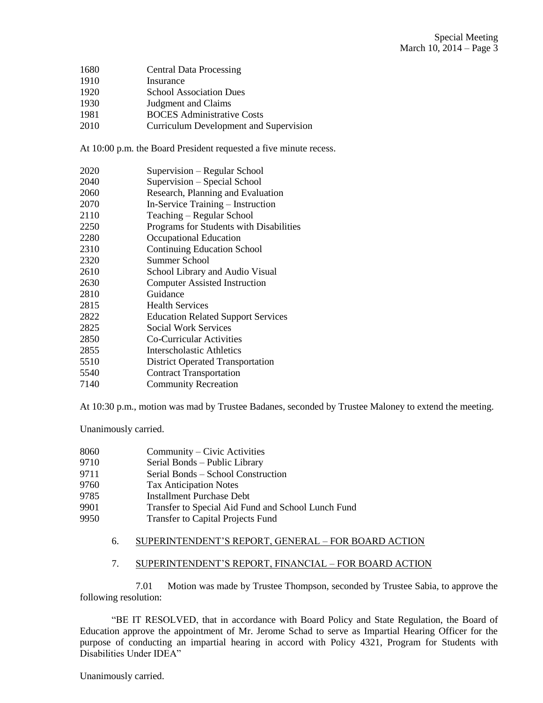- Central Data Processing
- Insurance
- School Association Dues
- Judgment and Claims
- BOCES Administrative Costs
- Curriculum Development and Supervision

At 10:00 p.m. the Board President requested a five minute recess.

- Supervision Regular School
- Supervision Special School
- Research, Planning and Evaluation
- In-Service Training Instruction
- Teaching Regular School
- Programs for Students with Disabilities
- Occupational Education
- Continuing Education School
- Summer School
- School Library and Audio Visual
- Computer Assisted Instruction
- Guidance
- Health Services
- Education Related Support Services
- Social Work Services
- Co-Curricular Activities
- Interscholastic Athletics
- District Operated Transportation
- Contract Transportation
- Community Recreation

At 10:30 p.m., motion was mad by Trustee Badanes, seconded by Trustee Maloney to extend the meeting.

Unanimously carried.

- Community Civic Activities
- Serial Bonds Public Library
- Serial Bonds School Construction
- Tax Anticipation Notes
- Installment Purchase Debt
- Transfer to Special Aid Fund and School Lunch Fund
- Transfer to Capital Projects Fund

# 6. SUPERINTENDENT'S REPORT, GENERAL – FOR BOARD ACTION

# 7. SUPERINTENDENT'S REPORT, FINANCIAL – FOR BOARD ACTION

7.01 Motion was made by Trustee Thompson, seconded by Trustee Sabia, to approve the following resolution:

"BE IT RESOLVED, that in accordance with Board Policy and State Regulation, the Board of Education approve the appointment of Mr. Jerome Schad to serve as Impartial Hearing Officer for the purpose of conducting an impartial hearing in accord with Policy 4321, Program for Students with Disabilities Under IDEA"